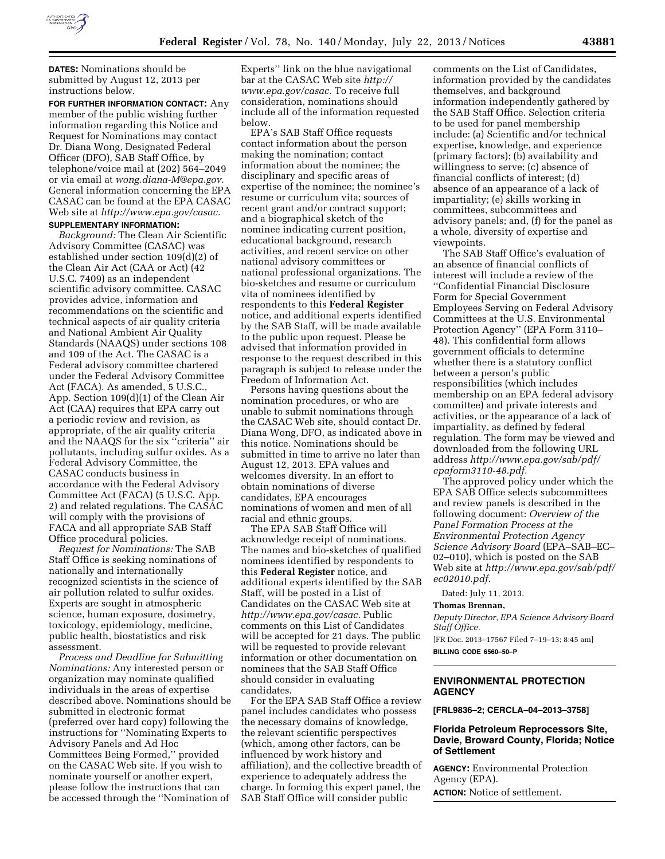

**DATES:** Nominations should be submitted by August 12, 2013 per instructions below.

**FOR FURTHER INFORMATION CONTACT:** Any member of the public wishing further information regarding this Notice and Request for Nominations may contact Dr. Diana Wong, Designated Federal Officer (DFO), SAB Staff Office, by telephone/voice mail at (202) 564–2049 or via email at *[wong.diana-M@epa.gov.](mailto:wong.diana-M@epa.gov)*  General information concerning the EPA CASAC can be found at the EPA CASAC Web site at *[http://www.epa.gov/casac.](http://www.epa.gov/casac)*  **SUPPLEMENTARY INFORMATION:**

*Background:* The Clean Air Scientific Advisory Committee (CASAC) was established under section 109(d)(2) of the Clean Air Act (CAA or Act) (42 U.S.C. 7409) as an independent scientific advisory committee. CASAC provides advice, information and recommendations on the scientific and technical aspects of air quality criteria and National Ambient Air Quality Standards (NAAQS) under sections 108 and 109 of the Act. The CASAC is a Federal advisory committee chartered under the Federal Advisory Committee Act (FACA). As amended, 5 U.S.C., App. Section 109(d)(1) of the Clean Air Act (CAA) requires that EPA carry out a periodic review and revision, as appropriate, of the air quality criteria and the NAAQS for the six ''criteria'' air pollutants, including sulfur oxides. As a Federal Advisory Committee, the CASAC conducts business in accordance with the Federal Advisory Committee Act (FACA) (5 U.S.C. App. 2) and related regulations. The CASAC will comply with the provisions of FACA and all appropriate SAB Staff Office procedural policies.

*Request for Nominations:* The SAB Staff Office is seeking nominations of nationally and internationally recognized scientists in the science of air pollution related to sulfur oxides. Experts are sought in atmospheric science, human exposure, dosimetry, toxicology, epidemiology, medicine, public health, biostatistics and risk assessment.

*Process and Deadline for Submitting Nominations:* Any interested person or organization may nominate qualified individuals in the areas of expertise described above. Nominations should be submitted in electronic format (preferred over hard copy) following the instructions for ''Nominating Experts to Advisory Panels and Ad Hoc Committees Being Formed,'' provided on the CASAC Web site. If you wish to nominate yourself or another expert, please follow the instructions that can be accessed through the ''Nomination of

Experts'' link on the blue navigational bar at the CASAC Web site *[http://](http://www.epa.gov/casac) [www.epa.gov/casac.](http://www.epa.gov/casac)* To receive full consideration, nominations should include all of the information requested below.

EPA's SAB Staff Office requests contact information about the person making the nomination; contact information about the nominee; the disciplinary and specific areas of expertise of the nominee; the nominee's resume or curriculum vita; sources of recent grant and/or contract support; and a biographical sketch of the nominee indicating current position, educational background, research activities, and recent service on other national advisory committees or national professional organizations. The bio-sketches and resume or curriculum vita of nominees identified by respondents to this **Federal Register**  notice, and additional experts identified by the SAB Staff, will be made available to the public upon request. Please be advised that information provided in response to the request described in this paragraph is subject to release under the Freedom of Information Act.

Persons having questions about the nomination procedures, or who are unable to submit nominations through the CASAC Web site, should contact Dr. Diana Wong, DFO, as indicated above in this notice. Nominations should be submitted in time to arrive no later than August 12, 2013. EPA values and welcomes diversity. In an effort to obtain nominations of diverse candidates, EPA encourages nominations of women and men of all racial and ethnic groups.

The EPA SAB Staff Office will acknowledge receipt of nominations. The names and bio-sketches of qualified nominees identified by respondents to this **Federal Register** notice, and additional experts identified by the SAB Staff, will be posted in a List of Candidates on the CASAC Web site at *[http://www.epa.gov/casac.](http://www.epa.gov/casac)* Public comments on this List of Candidates will be accepted for 21 days. The public will be requested to provide relevant information or other documentation on nominees that the SAB Staff Office should consider in evaluating candidates.

For the EPA SAB Staff Office a review panel includes candidates who possess the necessary domains of knowledge, the relevant scientific perspectives (which, among other factors, can be influenced by work history and affiliation), and the collective breadth of experience to adequately address the charge. In forming this expert panel, the SAB Staff Office will consider public

comments on the List of Candidates, information provided by the candidates themselves, and background information independently gathered by the SAB Staff Office. Selection criteria to be used for panel membership include: (a) Scientific and/or technical expertise, knowledge, and experience (primary factors); (b) availability and willingness to serve; (c) absence of financial conflicts of interest; (d) absence of an appearance of a lack of impartiality; (e) skills working in committees, subcommittees and advisory panels; and, (f) for the panel as a whole, diversity of expertise and viewpoints.

The SAB Staff Office's evaluation of an absence of financial conflicts of interest will include a review of the ''Confidential Financial Disclosure Form for Special Government Employees Serving on Federal Advisory Committees at the U.S. Environmental Protection Agency'' (EPA Form 3110– 48). This confidential form allows government officials to determine whether there is a statutory conflict between a person's public responsibilities (which includes membership on an EPA federal advisory committee) and private interests and activities, or the appearance of a lack of impartiality, as defined by federal regulation. The form may be viewed and downloaded from the following URL address *[http://www.epa.gov/sab/pdf/](http://www.epa.gov/sab/pdf/epaform3110-48.pdf)  [epaform3110-48.pdf.](http://www.epa.gov/sab/pdf/epaform3110-48.pdf)* 

The approved policy under which the EPA SAB Office selects subcommittees and review panels is described in the following document: *Overview of the Panel Formation Process at the Environmental Protection Agency Science Advisory Board* (EPA–SAB–EC– 02–010), which is posted on the SAB Web site at *[http://www.epa.gov/sab/pdf/](http://www.epa.gov/sab/pdf/ec02010.pdf)  [ec02010.pdf.](http://www.epa.gov/sab/pdf/ec02010.pdf)* 

Dated: July 11, 2013.

#### **Thomas Brennan,**

*Deputy Director, EPA Science Advisory Board Staff Office.* 

[FR Doc. 2013–17567 Filed 7–19–13; 8:45 am] **BILLING CODE 6560–50–P** 

### **ENVIRONMENTAL PROTECTION AGENCY**

**[FRL9836–2; CERCLA–04–2013–3758]** 

## **Florida Petroleum Reprocessors Site, Davie, Broward County, Florida; Notice of Settlement**

**AGENCY:** Environmental Protection Agency (EPA). **ACTION:** Notice of settlement.